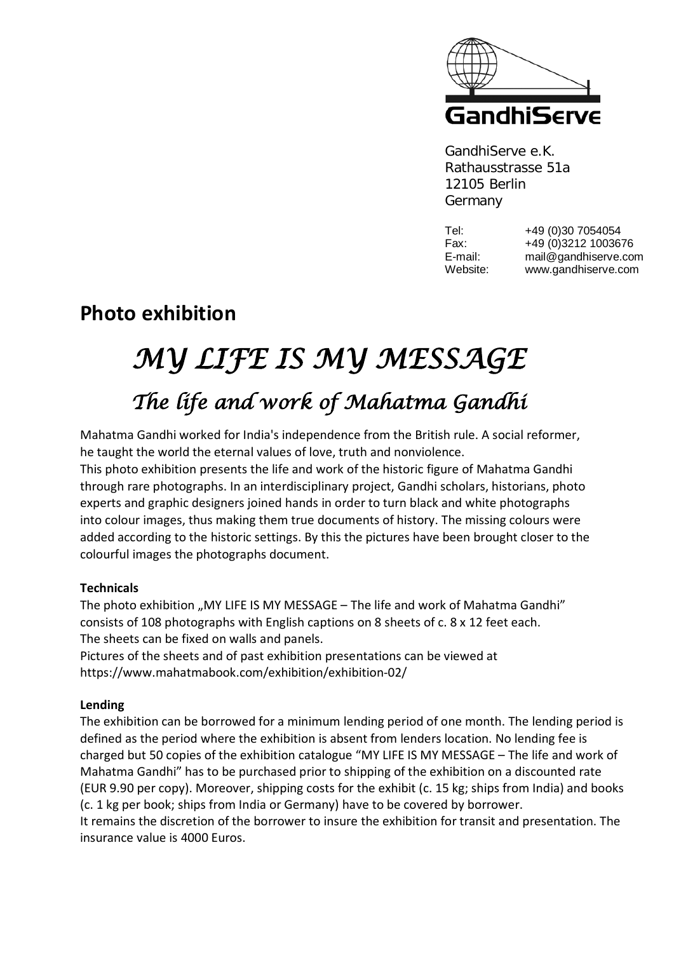

GandhiServe e.K. Rathausstrasse 51a 12105 Berlin Germany

Tel: +49 (0)30 7054054 Fax: +49 (0)3212 1003676 E-mail: mail@gandhiserve.com Website: www.gandhiserve.com

# **Photo exhibition**

# *MY LIFE IS MY MESSAGE The life and work of Mahatma Gandhi*

Mahatma Gandhi worked for India's independence from the British rule. A social reformer, he taught the world the eternal values of love, truth and nonviolence.

This photo exhibition presents the life and work of the historic figure of Mahatma Gandhi through rare photographs. In an interdisciplinary project, Gandhi scholars, historians, photo experts and graphic designers joined hands in order to turn black and white photographs into colour images, thus making them true documents of history. The missing colours were added according to the historic settings. By this the pictures have been brought closer to the colourful images the photographs document.

## **Technicals**

The photo exhibition "MY LIFE IS MY MESSAGE – The life and work of Mahatma Gandhi" consists of 108 photographs with English captions on 8 sheets of c. 8 x 12 feet each. The sheets can be fixed on walls and panels.

Pictures of the sheets and of past exhibition presentations can be viewed at https://www.mahatmabook.com/exhibition/exhibition-02/

#### **Lending**

The exhibition can be borrowed for a minimum lending period of one month. The lending period is defined as the period where the exhibition is absent from lenders location. No lending fee is charged but 50 copies of the exhibition catalogue "MY LIFE IS MY MESSAGE – The life and work of Mahatma Gandhi" has to be purchased prior to shipping of the exhibition on a discounted rate (EUR 9.90 per copy). Moreover, shipping costs for the exhibit (c. 15 kg; ships from India) and books (c. 1 kg per book; ships from India or Germany) have to be covered by borrower.

It remains the discretion of the borrower to insure the exhibition for transit and presentation. The insurance value is 4000 Euros.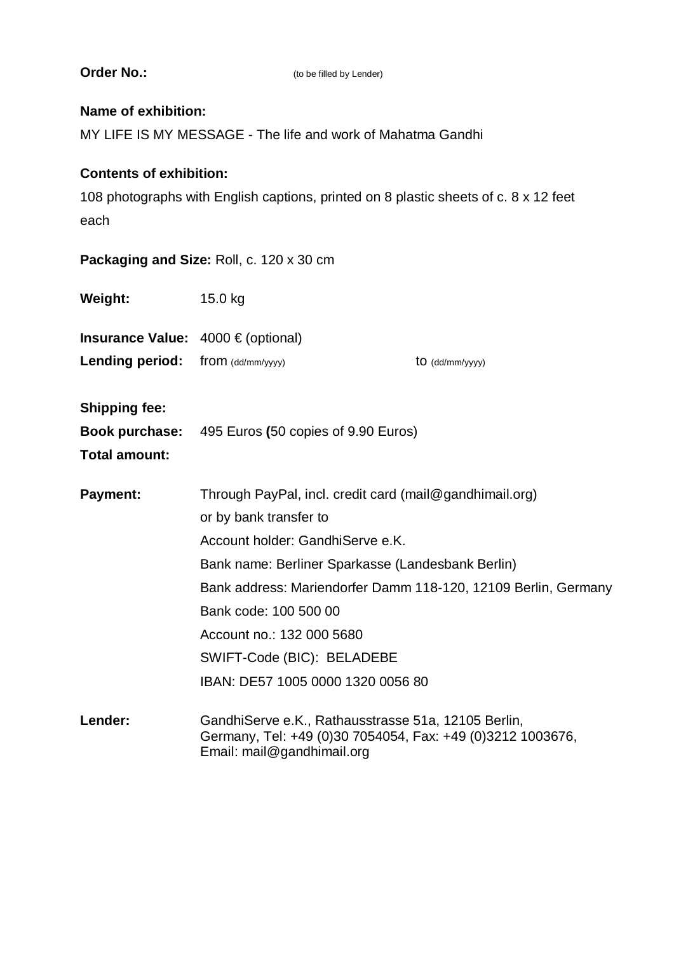| <b>Order No.:</b>                                                                            | (to be filled by Lender)                                                                                                                        |
|----------------------------------------------------------------------------------------------|-------------------------------------------------------------------------------------------------------------------------------------------------|
| <b>Name of exhibition:</b><br>MY LIFE IS MY MESSAGE - The life and work of Mahatma Gandhi    |                                                                                                                                                 |
| <b>Contents of exhibition:</b>                                                               |                                                                                                                                                 |
| 108 photographs with English captions, printed on 8 plastic sheets of c. 8 x 12 feet<br>each |                                                                                                                                                 |
| Packaging and Size: Roll, c. 120 x 30 cm                                                     |                                                                                                                                                 |
| Weight:                                                                                      | 15.0 kg                                                                                                                                         |
| <b>Insurance Value:</b> $4000 \in (optional)$                                                |                                                                                                                                                 |
| <b>Lending period:</b>                                                                       | $from$ (dd/mm/yyyy)<br>to (dd/mm/yyyy)                                                                                                          |
| <b>Shipping fee:</b>                                                                         |                                                                                                                                                 |
| Total amount:                                                                                | <b>Book purchase:</b> 495 Euros (50 copies of 9.90 Euros)                                                                                       |
| <b>Payment:</b>                                                                              | Through PayPal, incl. credit card (mail@gandhimail.org)<br>or by bank transfer to                                                               |
|                                                                                              | Account holder: GandhiServe e.K.                                                                                                                |
|                                                                                              | Bank name: Berliner Sparkasse (Landesbank Berlin)                                                                                               |
|                                                                                              | Bank address: Mariendorfer Damm 118-120, 12109 Berlin, Germany                                                                                  |
|                                                                                              | Bank code: 100 500 00                                                                                                                           |
|                                                                                              | Account no.: 132 000 5680                                                                                                                       |
|                                                                                              | SWIFT-Code (BIC): BELADEBE<br>IBAN: DE57 1005 0000 1320 0056 80                                                                                 |
| Lender:                                                                                      | GandhiServe e.K., Rathausstrasse 51a, 12105 Berlin,<br>Germany, Tel: +49 (0)30 7054054, Fax: +49 (0)3212 1003676,<br>Email: mail@gandhimail.org |